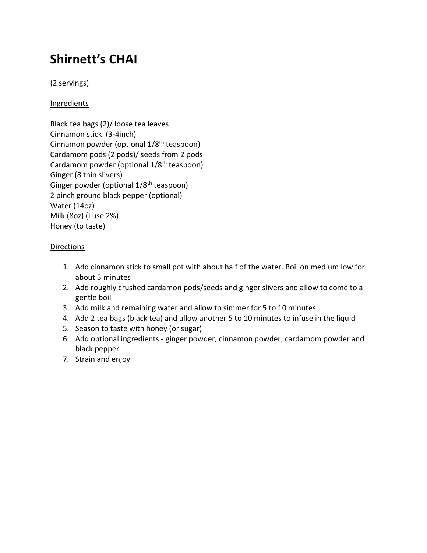## **Shirnett's CHAI**

(2 servings)

**Ingredients** 

Black tea bags (2)/ loose tea leaves Cinnamon stick (3-4inch) Cinnamon powder (optional 1/8<sup>th</sup> teaspoon) Cardamom pods (2 pods)/ seeds from 2 pods Cardamom powder (optional 1/8<sup>th</sup> teaspoon) Ginger (8 thin slivers) Ginger powder (optional 1/8<sup>th</sup> teaspoon) 2 pinch ground black pepper (optional) Water (14oz) Milk (8oz) (I use 2%) Honey (to taste)

## Directions

- 1. Add cinnamon stick to small pot with about half of the water. Boil on medium low for about 5 minutes
- 2. Add roughly crushed cardamon pods/seeds and ginger slivers and allow to come to a gentle boil
- 3. Add milk and remaining water and allow to simmer for 5 to 10 minutes
- 4. Add 2 tea bags (black tea) and allow another 5 to 10 minutes to infuse in the liquid
- 5. Season to taste with honey (or sugar)
- 6. Add optional ingredients ginger powder, cinnamon powder, cardamom powder and black pepper
- 7. Strain and enjoy